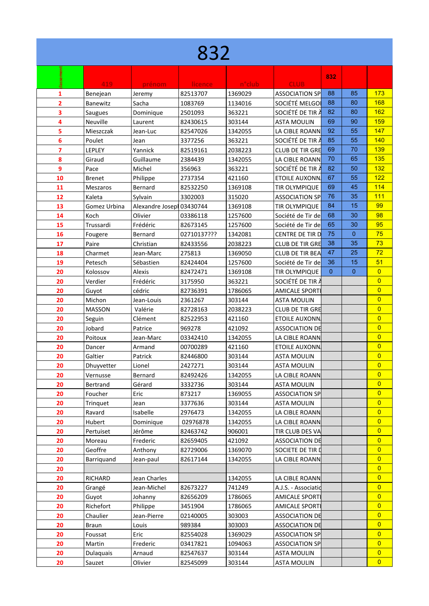| 832            |               |                           |             |         |                        |              |                |                |  |
|----------------|---------------|---------------------------|-------------|---------|------------------------|--------------|----------------|----------------|--|
|                | 419           | prénom                    | licence     | n°club  | <b>CLUB</b>            | 832          |                |                |  |
| 1              | Benejean      | Jeremy                    | 82513707    | 1369029 | <b>ASSOCIATION SP</b>  | 88           | 85             | 173            |  |
| $\overline{2}$ | Banewitz      | Sacha                     | 1083769     | 1134016 | SOCIÉTÉ MELGOI         | 88           | 80             | 168            |  |
| 3              | Saugues       | Dominique                 | 2501093     | 363221  | SOCIÉTÉ DE TIR À       | 82           | 80             | 162            |  |
| 4              | Neuville      | Laurent                   | 82430615    | 303144  | <b>ASTA MOULIN</b>     | 69           | 90             | 159            |  |
| 5              | Mieszczak     | Jean-Luc                  | 82547026    | 1342055 | LA CIBLE ROANN         | 92           | 55             | 147            |  |
| 6              | Poulet        | Jean                      | 3377256     | 363221  | SOCIÉTÉ DE TIR À       | 85           | 55             | 140            |  |
| 7              | LEPLEY        | Yannick                   | 82519161    | 2038223 | CLUB DE TIR GRE        | 69           | 70             | 139            |  |
| 8              | Giraud        | Guillaume                 | 2384439     | 1342055 | LA CIBLE ROANN         | 70           | 65             | 135            |  |
| 9              | Pace          | Michel                    | 356963      | 363221  | SOCIÉTÉ DE TIR À       | 82           | 50             | 132            |  |
| 10             | Brenet        | Philippe                  | 2737354     | 421160  | <b>ETOILE AUXONN</b>   | 67           | 55             | 122            |  |
| 11             | Meszaros      | Bernard                   | 82532250    | 1369108 | TIR OLYMPIQUE          | 69           | 45             | 114            |  |
| 12             | Kaleta        | Sylvain                   | 3302003     | 315020  | <b>ASSOCIATION SP</b>  | 76           | 35             | 111            |  |
| 13             | Gomez Urbina  | Alexandre Joseph 03430744 |             | 1369108 | TIR OLYMPIQUE          | 84           | 15             | 99             |  |
| 14             | Koch          | Olivier                   | 03386118    | 1257600 | Société de Tir del     | 68           | 30             | 98             |  |
| 15             | Trussardi     | Frédéric                  | 82673145    | 1257600 | Société de Tir de      | 65           | 30             | 95             |  |
| 16             | Fougere       | Bernard                   | 02710137??? | 1342081 | CENTRE DE TIR D        | 75           | $\overline{0}$ | 75             |  |
| 17             | Paire         | Christian                 | 82433556    | 2038223 | CLUB DE TIR GRE        | 38           | 35             | 73             |  |
| 18             | Charmet       | Jean-Marc                 | 275813      | 1369050 | <b>CLUB DE TIR BEA</b> | 47           | 25             | 72             |  |
| 19             | Petesch       | Sébastien                 | 82424404    | 1257600 | Société de Tir de      | 36           | 15             | 51             |  |
| 20             | Kolossov      | Alexis                    | 82472471    | 1369108 | TIR OLYMPIQUE          | $\mathbf{0}$ | $\overline{0}$ | $\overline{0}$ |  |
| 20             | Verdier       | Frédéric                  | 3175950     | 363221  | SOCIÉTÉ DE TIR À       |              |                | $\overline{0}$ |  |
| 20             | Guyot         | cédric                    | 82736391    | 1786065 | <b>AMICALE SPORTI</b>  |              |                | $\overline{0}$ |  |
| 20             | Michon        | Jean-Louis                | 2361267     | 303144  | <b>ASTA MOULIN</b>     |              |                | $\overline{0}$ |  |
| 20             | <b>MASSON</b> | Valérie                   | 82728163    | 2038223 | CLUB DE TIR GRE        |              |                | $\overline{0}$ |  |
| 20             | Seguin        | Clément                   | 82522953    | 421160  | ETOILE AUXONN.         |              |                | $\overline{0}$ |  |
| 20             | Jobard        | Patrice                   | 969278      | 421092  | ASSOCIATION DE         |              |                | $\overline{0}$ |  |
| 20             | Poitoux       | Jean-Marc                 | 03342410    | 1342055 | LA CIBLE ROANN         |              |                | $\overline{0}$ |  |
| 20             | Dancer        | Armand                    | 00700289    | 421160  | <b>ETOILE AUXONN</b>   |              |                | $\overline{0}$ |  |
| 20             | Galtier       | Patrick                   | 82446800    | 303144  | ASTA MOULIN            |              |                | $\overline{0}$ |  |
| 20             | Dhuyvetter    | Lionel                    | 2427271     | 303144  | <b>ASTA MOULIN</b>     |              |                | $\overline{0}$ |  |
| 20             | Vernusse      | Bernard                   | 82492426    | 1342055 | LA CIBLE ROANN         |              |                | $\overline{0}$ |  |
| 20             | Bertrand      | Gérard                    | 3332736     | 303144  | <b>ASTA MOULIN</b>     |              |                | $\overline{0}$ |  |
| 20             | Foucher       | Eric                      | 873217      | 1369055 | <b>ASSOCIATION SP</b>  |              |                | $\overline{0}$ |  |
| 20             | Tringuet      | Jean                      | 3377636     | 303144  | <b>ASTA MOULIN</b>     |              |                | $\overline{0}$ |  |
| 20             | Ravard        | Isabelle                  | 2976473     | 1342055 | LA CIBLE ROANN         |              |                | $\overline{0}$ |  |
| 20             | Hubert        | Dominique                 | 02976878    | 1342055 | LA CIBLE ROANN         |              |                | $\overline{0}$ |  |
| 20             | Pertuiset     | Jérôme                    | 82463742    | 906001  | TIR CLUB DES VA        |              |                | $\overline{0}$ |  |
| 20             | Moreau        | Frederic                  | 82659405    | 421092  | ASSOCIATION DE         |              |                | $\overline{0}$ |  |
| 20             | Geoffre       | Anthony                   | 82729006    | 1369070 | SOCIETE DE TIR D       |              |                | $\overline{0}$ |  |
| 20             | Barriquand    | Jean-paul                 | 82617144    | 1342055 | LA CIBLE ROANN         |              |                | $\overline{0}$ |  |
| 20             |               |                           |             |         |                        |              |                | $\overline{0}$ |  |
| 20             | RICHARD       | Jean Charles              |             | 1342055 | LA CIBLE ROANN         |              |                | $\overline{0}$ |  |
| 20             | Grangé        | Jean-Michel               | 82673227    | 741249  | A.J.S. - Associatid    |              |                | $\overline{0}$ |  |
| 20             | Guyot         | Johanny                   | 82656209    | 1786065 | <b>AMICALE SPORTI</b>  |              |                | $\overline{0}$ |  |
| 20             | Richefort     | Philippe                  | 3451904     | 1786065 | <b>AMICALE SPORT</b>   |              |                | $\overline{0}$ |  |
| 20             | Chaulier      | Jean-Pierre               | 02140005    | 303003  | ASSOCIATION DE         |              |                | $\overline{0}$ |  |
| 20             | <b>Braun</b>  | Louis                     | 989384      | 303003  | ASSOCIATION DE         |              |                | $\overline{0}$ |  |
| 20             | Foussat       | Eric                      | 82554028    | 1369029 | ASSOCIATION SP         |              |                | $\overline{0}$ |  |
| 20             | Martin        | Frederic                  | 03417821    | 1094063 | <b>ASSOCIATION SP</b>  |              |                | $\overline{0}$ |  |
| 20             | Dulaquais     | Arnaud                    | 82547637    | 303144  | <b>ASTA MOULIN</b>     |              |                | $\overline{0}$ |  |
| 20             | Sauzet        | Olivier                   | 82545099    | 303144  | <b>ASTA MOULIN</b>     |              |                | $\overline{0}$ |  |
|                |               |                           |             |         |                        |              |                |                |  |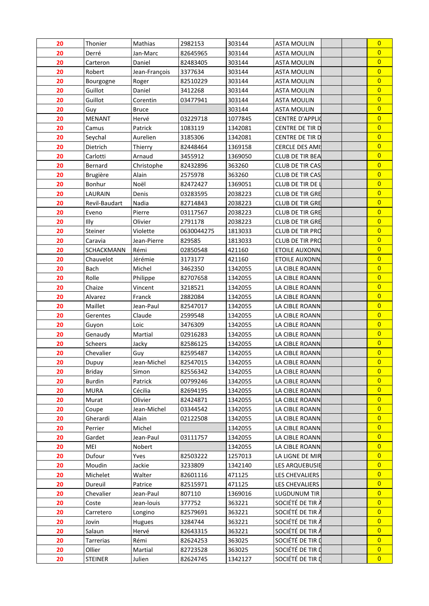| 20       | Thonier         | Mathias       | 2982153             | 303144             | <b>ASTA MOULIN</b>               | $\overline{0}$ |
|----------|-----------------|---------------|---------------------|--------------------|----------------------------------|----------------|
| 20       | Derré           | Jan-Marc      | 82645965            | 303144             | <b>ASTA MOULIN</b>               | $\overline{0}$ |
| 20       | Carteron        | Daniel        | 82483405            | 303144             | <b>ASTA MOULIN</b>               | $\overline{0}$ |
| 20       | Robert          | Jean-François | 3377634             | 303144             | <b>ASTA MOULIN</b>               | $\overline{0}$ |
| 20       | Bourgogne       | Roger         | 82510229            | 303144             | <b>ASTA MOULIN</b>               | $\overline{0}$ |
| 20       | Guillot         | Daniel        | 3412268             | 303144             | <b>ASTA MOULIN</b>               | $\overline{0}$ |
| 20       | Guillot         | Corentin      | 03477941            | 303144             | ASTA MOULIN                      | $\overline{0}$ |
| 20       | Guy             | <b>Bruce</b>  |                     | 303144             | <b>ASTA MOULIN</b>               | $\overline{0}$ |
| 20       | <b>MENANT</b>   | Hervé         | 03229718            | 1077845            | <b>CENTRE D'APPLIQ</b>           | $\overline{0}$ |
| 20       | Camus           | Patrick       | 1083119             | 1342081            | <b>CENTRE DE TIR DI</b>          | $\overline{0}$ |
| 20       | Seychal         | Aurelien      | 3185306             | 1342081            | CENTRE DE TIR D                  | $\overline{0}$ |
| 20       | Dietrich        | Thierry       | 82448464            | 1369158            | <b>CERCLE DES AMI</b>            | $\overline{0}$ |
| 20       | Carlotti        | Arnaud        | 3455912             | 1369050            | CLUB DE TIR BEA                  | $\overline{0}$ |
| 20       | Bernard         | Christophe    | 82432896            | 363260             | <b>CLUB DE TIR CAS</b>           | $\overline{0}$ |
| 20       | <b>Brugière</b> | Alain         | 2575978             | 363260             | <b>CLUB DE TIR CAS</b>           | $\overline{0}$ |
| 20       | Bonhur          | Noël          | 82472427            | 1369051            | CLUB DE TIR DE I                 | $\overline{0}$ |
| 20       | LAURAIN         | Denis         | 03283595            | 2038223            | CLUB DE TIR GRE                  | $\overline{0}$ |
| 20       | Revil-Baudart   | Nadia         | 82714843            | 2038223            | CLUB DE TIR GRE                  | $\overline{0}$ |
| 20       | Eveno           | Pierre        | 03117567            | 2038223            | CLUB DE TIR GRE                  | $\overline{0}$ |
| 20       | Illy            | Olivier       | 2791178             | 2038223            | CLUB DE TIR GRE                  | $\overline{0}$ |
| 20       | Steiner         | Violette      | 0630044275          | 1813033            | <b>CLUB DE TIR PRO</b>           | $\overline{0}$ |
| 20       | Caravia         | Jean-Pierre   | 829585              | 1813033            | CLUB DE TIR PRO                  | $\overline{0}$ |
| 20       | SCHACKMANN      | Rémi          | 02850548            | 421160             | <b>ETOILE AUXONN</b>             | $\overline{0}$ |
| 20       | Chauvelot       | Jérémie       | 3173177             | 421160             | <b>ETOILE AUXONN</b>             | $\overline{0}$ |
| 20       | Bach            | Michel        | 3462350             | 1342055            | LA CIBLE ROANN                   | $\overline{0}$ |
| 20       | Rolle           | Philippe      | 82707658            | 1342055            | LA CIBLE ROANN                   | $\overline{0}$ |
| 20       | Chaize          | Vincent       | 3218521             | 1342055            | LA CIBLE ROANN                   | $\overline{0}$ |
| 20       | Alvarez         | Franck        | 2882084             | 1342055            | LA CIBLE ROANN                   | $\overline{0}$ |
| 20       | Maillet         | Jean-Paul     | 82547017            | 1342055            | LA CIBLE ROANN                   | $\overline{0}$ |
| 20       | Gerentes        | Claude        | 2599548             | 1342055            | LA CIBLE ROANN                   | $\overline{0}$ |
|          | Guyon           | Loic          |                     |                    |                                  | $\overline{0}$ |
| 20<br>20 | Genaudy         | Martial       | 3476309<br>02916283 | 1342055<br>1342055 | LA CIBLE ROANN<br>LA CIBLE ROANN | $\overline{0}$ |
| 20       | Scheers         |               |                     |                    | LA CIBLE ROANN                   | $\overline{0}$ |
|          |                 | Jacky         | 82586125            | 1342055            |                                  | $\overline{0}$ |
| 20       | Chevalier       | Guy           | 82595487            | 1342055            | LA CIBLE ROANN                   | $\overline{0}$ |
| 20       | Dupuy           | Jean-Michel   | 82547015            | 1342055            | LA CIBLE ROANN                   | $\overline{0}$ |
| 20       | Briday          | Simon         | 82556342            | 1342055            | LA CIBLE ROANN                   | $\overline{0}$ |
| 20       | Burdin          | Patrick       | 00799246            | 1342055            | LA CIBLE ROANN                   | $\overline{0}$ |
| 20       | <b>MURA</b>     | Cécilia       | 82694195            | 1342055            | LA CIBLE ROANN                   | $\overline{0}$ |
| 20       | Murat           | Olivier       | 82424871            | 1342055            | LA CIBLE ROANN                   | $\overline{0}$ |
| 20       | Coupe           | Jean-Michel   | 03344542            | 1342055            | LA CIBLE ROANN                   |                |
| 20       | Gherardi        | Alain         | 02122508            | 1342055            | LA CIBLE ROANN                   | $\overline{0}$ |
| 20       | Perrier         | Michel        |                     | 1342055            | LA CIBLE ROANN                   | $\overline{0}$ |
| 20       | Gardet          | Jean-Paul     | 03111757            | 1342055            | LA CIBLE ROANN                   | $\overline{0}$ |
| 20       | MEI             | Nobert        |                     | 1342055            | LA CIBLE ROANN                   | $\overline{0}$ |
| 20       | Dufour          | Yves          | 82503222            | 1257013            | LA LIGNE DE MIR                  | $\overline{0}$ |
| 20       | Moudin          | Jackie        | 3233809             | 1342140            | LES ARQUEBUSIE                   | $\overline{0}$ |
| 20       | Michelet        | Walter        | 82601116            | 471125             | LES CHEVALIERS                   | $\overline{0}$ |
| 20       | Dureuil         | Patrice       | 82515971            | 471125             | LES CHEVALIERS                   | $\overline{0}$ |
| 20       | Chevalier       | Jean-Paul     | 807110              | 1369016            | LUGDUNUM TIR                     | $\overline{0}$ |
| 20       | Coste           | Jean-louis    | 377752              | 363221             | SOCIÉTÉ DE TIR À                 | $\overline{0}$ |
| 20       | Carretero       | Longino       | 82579691            | 363221             | SOCIÉTÉ DE TIR À                 | $\overline{0}$ |
| 20       | Jovin           | Hugues        | 3284744             | 363221             | SOCIÉTÉ DE TIR À                 | $\overline{0}$ |
| 20       | Salaun          | Hervé         | 82643315            | 363221             | SOCIÉTÉ DE TIR À                 | $\overline{0}$ |
| 20       | Tarrerias       | Rémi          | 82624253            | 363025             | SOCIÉTÉ DE TIR D                 | $\overline{0}$ |
| 20       | Ollier          | Martial       | 82723528            | 363025             | SOCIÉTÉ DE TIR D                 | $\overline{0}$ |
| 20       | <b>STEINER</b>  | Julien        | 82624745            | 1342127            | SOCIÉTÉ DE TIR D                 | $\overline{0}$ |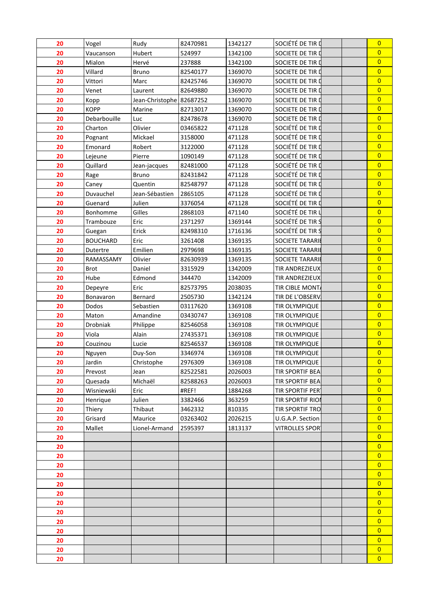| 20 | Vogel           | Rudy                     | 82470981 | 1342127 | SOCIÉTÉ DE TIR D        | $\overline{0}$ |  |
|----|-----------------|--------------------------|----------|---------|-------------------------|----------------|--|
| 20 | Vaucanson       | Hubert                   | 524997   | 1342100 | SOCIETE DE TIR D        | $\overline{0}$ |  |
| 20 | Mialon          | Hervé                    | 237888   | 1342100 | SOCIETE DE TIR D        | $\overline{0}$ |  |
| 20 | Villard         | <b>Bruno</b>             | 82540177 | 1369070 | SOCIETE DE TIR D        | $\overline{0}$ |  |
| 20 | Vittori         | Marc                     | 82425746 | 1369070 | SOCIETE DE TIR D        | $\overline{0}$ |  |
| 20 | Venet           | Laurent                  | 82649880 | 1369070 | SOCIETE DE TIR D        | $\overline{0}$ |  |
| 20 | Kopp            | Jean-Christophe 82687252 |          | 1369070 | SOCIETE DE TIR D        | $\overline{0}$ |  |
| 20 | <b>KOPP</b>     | Marine                   | 82713017 | 1369070 | SOCIETE DE TIR D        | $\overline{0}$ |  |
| 20 | Debarbouille    | Luc                      | 82478678 | 1369070 | SOCIETE DE TIR D        | $\overline{0}$ |  |
| 20 | Charton         | Olivier                  | 03465822 | 471128  | SOCIÉTÉ DE TIR D        | $\overline{0}$ |  |
| 20 | Pognant         | Mickael                  | 3158000  | 471128  | SOCIÉTÉ DE TIR D        | $\overline{0}$ |  |
| 20 | Emonard         | Robert                   | 3122000  | 471128  | SOCIÉTÉ DE TIR D        | $\overline{0}$ |  |
| 20 | Lejeune         | Pierre                   | 1090149  | 471128  | SOCIÉTÉ DE TIR D        | $\overline{0}$ |  |
| 20 | Quillard        | Jean-jacques             | 82481000 | 471128  | SOCIÉTÉ DE TIR D        | $\overline{0}$ |  |
| 20 | Rage            | Bruno                    | 82431842 | 471128  | SOCIÉTÉ DE TIR D        | $\overline{0}$ |  |
| 20 | Caney           | Quentin                  | 82548797 | 471128  | SOCIÉTÉ DE TIR D        | $\overline{0}$ |  |
| 20 | Duvauchel       | Jean-Sébastien           | 2865105  | 471128  | SOCIÉTÉ DE TIR D        | $\overline{0}$ |  |
| 20 | Guenard         | Julien                   | 3376054  | 471128  | SOCIÉTÉ DE TIR D        | $\overline{0}$ |  |
| 20 | Bonhomme        | Gilles                   | 2868103  | 471140  | SOCIÉTÉ DE TIR L        | $\overline{0}$ |  |
|    |                 |                          | 2371297  |         | SOCIÉTÉ DE TIR S        | $\overline{0}$ |  |
| 20 | Trambouze       | Eric                     |          | 1369144 |                         | $\overline{0}$ |  |
| 20 | Guegan          | Erick                    | 82498310 | 1716136 | SOCIÉTÉ DE TIR S        | $\overline{0}$ |  |
| 20 | <b>BOUCHARD</b> | Eric                     | 3261408  | 1369135 | SOCIETE TARARIE         | $\overline{0}$ |  |
| 20 | Dutertre        | Emilien                  | 2979698  | 1369135 | <b>SOCIETE TARARIE</b>  |                |  |
| 20 | RAMASSAMY       | Olivier                  | 82630939 | 1369135 | <b>SOCIETE TARARIE</b>  | $\overline{0}$ |  |
| 20 | <b>Brot</b>     | Daniel                   | 3315929  | 1342009 | <b>TIR ANDREZIEUX</b>   | $\overline{0}$ |  |
| 20 | Hube            | Edmond                   | 344470   | 1342009 | <b>TIR ANDREZIEUX</b>   | $\overline{0}$ |  |
| 20 | Depeyre         | Eric                     | 82573795 | 2038035 | TIR CIBLE MONT/         | $\overline{0}$ |  |
| 20 | Bonavaron       | Bernard                  | 2505730  | 1342124 | TIR DE L'OBSERV.        | $\overline{0}$ |  |
| 20 | Dodos           | Sebastien                | 03117620 | 1369108 | TIR OLYMPIQUE           | $\overline{0}$ |  |
| 20 | Maton           | Amandine                 | 03430747 | 1369108 | TIR OLYMPIQUE           | $\overline{0}$ |  |
| 20 | Drobniak        | Philippe                 | 82546058 | 1369108 | TIR OLYMPIQUE           | $\overline{0}$ |  |
| 20 | Viola           | Alain                    | 27435371 | 1369108 | TIR OLYMPIQUE           | $\overline{0}$ |  |
| 20 | Couzinou        | Lucie                    | 82546537 | 1369108 | TIR OLYMPIQUE           | $\overline{0}$ |  |
| 20 | Nguyen          | Duy-Son                  | 3346974  | 1369108 | TIR OLYMPIQUE           | $\overline{0}$ |  |
| 20 | Jardin          | Christophe               | 2976309  | 1369108 | TIR OLYMPIQUE           | $\mathsf{U}$   |  |
| 20 | Prevost         | Jean                     | 82522581 | 2026003 | <b>TIR SPORTIF BEA</b>  | $\overline{0}$ |  |
| 20 | Quesada         | Michaël                  | 82588263 | 2026003 | <b>TIR SPORTIF BEA</b>  | $\overline{0}$ |  |
| 20 | Wisniewski      | Eric                     | #REF!    | 1884268 | TIR SPORTIF PERT        | $\overline{0}$ |  |
| 20 | Henrique        | Julien                   | 3382466  | 363259  | <b>TIR SPORTIF RIOR</b> | $\overline{0}$ |  |
| 20 | Thiery          | Thibaut                  | 3462332  | 810335  | <b>TIR SPORTIF TRO</b>  | $\overline{0}$ |  |
| 20 | Grisard         | Maurice                  | 03263402 | 2026215 | U.G.A.P. Section        | $\overline{0}$ |  |
| 20 | Mallet          | Lionel-Armand            | 2595397  | 1813137 | VITROLLES SPOR          | $\overline{0}$ |  |
| 20 |                 |                          |          |         |                         | $\overline{0}$ |  |
| 20 |                 |                          |          |         |                         | $\overline{0}$ |  |
| 20 |                 |                          |          |         |                         | $\overline{0}$ |  |
| 20 |                 |                          |          |         |                         | $\overline{0}$ |  |
| 20 |                 |                          |          |         |                         | $\overline{0}$ |  |
| 20 |                 |                          |          |         |                         | $\overline{0}$ |  |
| 20 |                 |                          |          |         |                         | $\overline{0}$ |  |
| 20 |                 |                          |          |         |                         | $\overline{0}$ |  |
| 20 |                 |                          |          |         |                         | $\overline{0}$ |  |
| 20 |                 |                          |          |         |                         | $\overline{0}$ |  |
| 20 |                 |                          |          |         |                         | $\overline{0}$ |  |
| 20 |                 |                          |          |         |                         | $\overline{0}$ |  |
| 20 |                 |                          |          |         |                         | $\overline{0}$ |  |
| 20 |                 |                          |          |         |                         | $\overline{0}$ |  |
|    |                 |                          |          |         |                         |                |  |